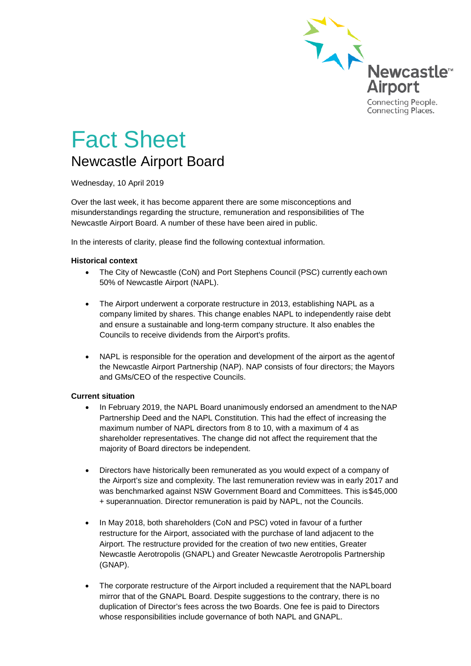

# Fact Sheet Newcastle Airport Board

Wednesday, 10 April 2019

Over the last week, it has become apparent there are some misconceptions and misunderstandings regarding the structure, remuneration and responsibilities of The Newcastle Airport Board. A number of these have been aired in public.

In the interests of clarity, please find the following contextual information.

#### **Historical context**

- The City of Newcastle (CoN) and Port Stephens Council (PSC) currently each own 50% of Newcastle Airport (NAPL).
- The Airport underwent a corporate restructure in 2013, establishing NAPL as a company limited by shares. This change enables NAPL to independently raise debt and ensure a sustainable and long-term company structure. It also enables the Councils to receive dividends from the Airport's profits.
- NAPL is responsible for the operation and development of the airport as the agentof the Newcastle Airport Partnership (NAP). NAP consists of four directors; the Mayors and GMs/CEO of the respective Councils.

#### **Current situation**

- In February 2019, the NAPL Board unanimously endorsed an amendment to theNAP Partnership Deed and the NAPL Constitution. This had the effect of increasing the maximum number of NAPL directors from 8 to 10, with a maximum of 4 as shareholder representatives. The change did not affect the requirement that the majority of Board directors be independent.
- Directors have historically been remunerated as you would expect of a company of the Airport's size and complexity. The last remuneration review was in early 2017 and was benchmarked against NSW Government Board and Committees. This is\$45,000 + superannuation. Director remuneration is paid by NAPL, not the Councils.
- In May 2018, both shareholders (CoN and PSC) voted in favour of a further restructure for the Airport, associated with the purchase of land adjacent to the Airport. The restructure provided for the creation of two new entities, Greater Newcastle Aerotropolis (GNAPL) and Greater Newcastle Aerotropolis Partnership (GNAP).
- The corporate restructure of the Airport included a requirement that the NAPLboard mirror that of the GNAPL Board. Despite suggestions to the contrary, there is no duplication of Director's fees across the two Boards. One fee is paid to Directors whose responsibilities include governance of both NAPL and GNAPL.